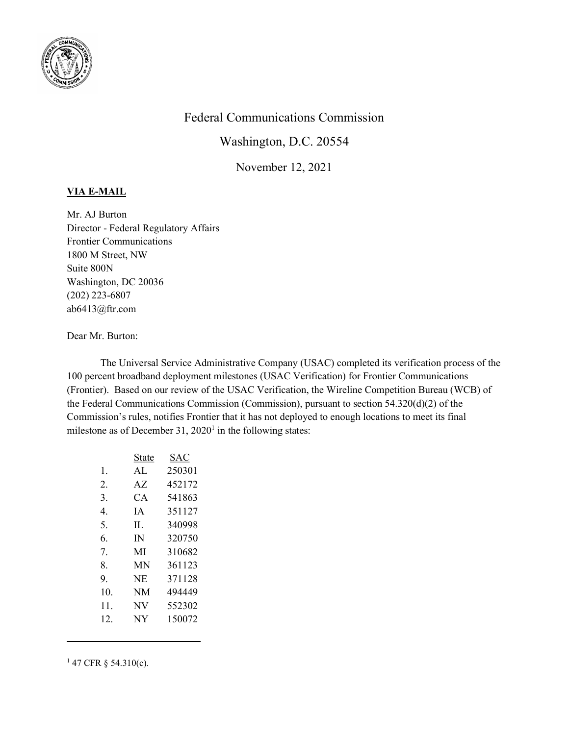

## Federal Communications Commission

Washington, D.C. 20554

November 12, 2021

## VIA E-MAIL

Mr. AJ Burton Director - Federal Regulatory Affairs Frontier Communications 1800 M Street, NW Suite 800N Washington, DC 20036 (202) 223-6807 ab6413@ftr.com

## Dear Mr. Burton:

The Universal Service Administrative Company (USAC) completed its verification process of the 100 percent broadband deployment milestones (USAC Verification) for Frontier Communications (Frontier). Based on our review of the USAC Verification, the Wireline Competition Bureau (WCB) of the Federal Communications Commission (Commission), pursuant to section 54.320(d)(2) of the Commission's rules, notifies Frontier that it has not deployed to enough locations to meet its final milestone as of December  $31, 2020<sup>1</sup>$  in the following states:

|     | State | SAC    |
|-----|-------|--------|
| 1.  | AL    | 250301 |
| 2.  | AZ.   | 452172 |
| 3.  | CA    | 541863 |
| 4.  | IΑ    | 351127 |
| 5.  | IL    | 340998 |
| 6.  | IN    | 320750 |
| 7.  | MI    | 310682 |
| 8.  | MN    | 361123 |
| 9.  | NE    | 371128 |
| 10. | NΜ    | 494449 |
| 11. | N V   | 552302 |
| 12. | NY    | 150072 |

 $147$  CFR § 54.310(c).